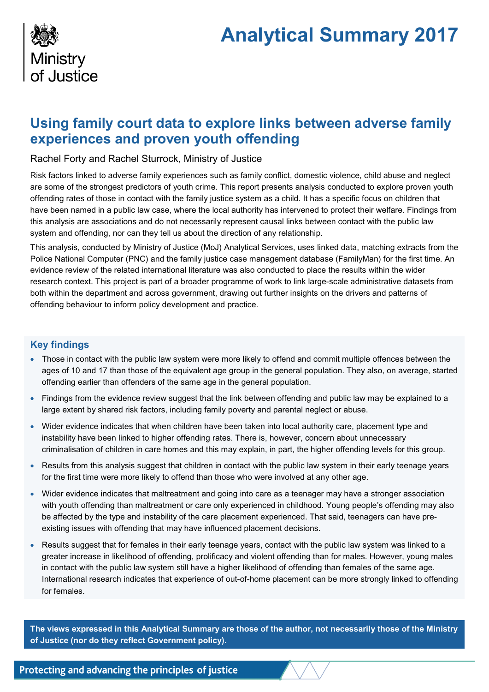# **Analytical Summary 2017**



# **Using family court data to explore links between adverse family experiences and proven youth offending**

Rachel Forty and Rachel Sturrock, Ministry of Justice

Risk factors linked to adverse family experiences such as family conflict, domestic violence, child abuse and neglect are some of the strongest predictors of youth crime. This report presents analysis conducted to explore proven youth offending rates of those in contact with the family justice system as a child. It has a specific focus on children that have been named in a public law case, where the local authority has intervened to protect their welfare. Findings from this analysis are associations and do not necessarily represent causal links between contact with the public law system and offending, nor can they tell us about the direction of any relationship.

This analysis, conducted by Ministry of Justice (MoJ) Analytical Services, uses linked data, matching extracts from the Police National Computer (PNC) and the family justice case management database (FamilyMan) for the first time. An evidence review of the related international literature was also conducted to place the results within the wider research context. This project is part of a broader programme of work to link large-scale administrative datasets from both within the department and across government, drawing out further insights on the drivers and patterns of offending behaviour to inform policy development and practice.

# **Key findings**

- Those in contact with the public law system were more likely to offend and commit multiple offences between the ages of 10 and 17 than those of the equivalent age group in the general population. They also, on average, started offending earlier than offenders of the same age in the general population.
- Findings from the evidence review suggest that the link between offending and public law may be explained to a large extent by shared risk factors, including family poverty and parental neglect or abuse.
- Wider evidence indicates that when children have been taken into local authority care, placement type and instability have been linked to higher offending rates. There is, however, concern about unnecessary criminalisation of children in care homes and this may explain, in part, the higher offending levels for this group.
- Results from this analysis suggest that children in contact with the public law system in their early teenage years for the first time were more likely to offend than those who were involved at any other age.
- Wider evidence indicates that maltreatment and going into care as a teenager may have a stronger association with youth offending than maltreatment or care only experienced in childhood. Young people's offending may also be affected by the type and instability of the care placement experienced. That said, teenagers can have preexisting issues with offending that may have influenced placement decisions.
- Results suggest that for females in their early teenage years, contact with the public law system was linked to a greater increase in likelihood of offending, prolificacy and violent offending than for males. However, young males in contact with the public law system still have a higher likelihood of offending than females of the same age. International research indicates that experience of out-of-home placement can be more strongly linked to offending for females.

**The views expressed in this Analytical Summary are those of the author, not necessarily those of the Ministry of Justice (nor do they reflect Government policy).**

Protecting and advancing the principles of justice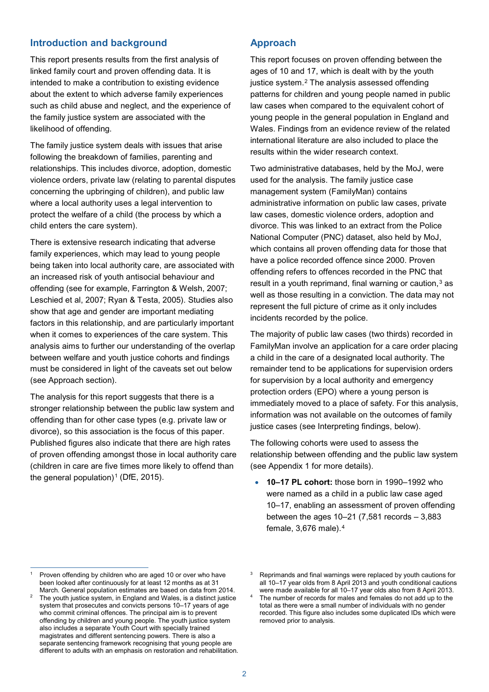## **Introduction and background**

This report presents results from the first analysis of linked family court and proven offending data. It is intended to make a contribution to existing evidence about the extent to which adverse family experiences such as child abuse and neglect, and the experience of the family justice system are associated with the likelihood of offending.

The family justice system deals with issues that arise following the breakdown of families, parenting and relationships. This includes divorce, adoption, domestic violence orders, private law (relating to parental disputes concerning the upbringing of children), and public law where a local authority uses a legal intervention to protect the welfare of a child (the process by which a child enters the care system).

There is extensive research indicating that adverse family experiences, which may lead to young people being taken into local authority care, are associated with an increased risk of youth antisocial behaviour and offending (see for example, Farrington & Welsh, 2007; Leschied et al, 2007; Ryan & Testa, 2005). Studies also show that age and gender are important mediating factors in this relationship, and are particularly important when it comes to experiences of the care system. This analysis aims to further our understanding of the overlap between welfare and youth justice cohorts and findings must be considered in light of the caveats set out below (see Approach section).

The analysis for this report suggests that there is a stronger relationship between the public law system and offending than for other case types (e.g. private law or divorce), so this association is the focus of this paper. Published figures also indicate that there are high rates of proven offending amongst those in local authority care (children in care are five times more likely to offend than the general population)<sup>[1](#page-1-0)</sup> (DfE, 2015).

# **Approach**

This report focuses on proven offending between the ages of 10 and 17, which is dealt with by the youth justice system.<sup>[2](#page-1-1)</sup> The analysis assessed offending patterns for children and young people named in public law cases when compared to the equivalent cohort of young people in the general population in England and Wales. Findings from an evidence review of the related international literature are also included to place the results within the wider research context.

Two administrative databases, held by the MoJ, were used for the analysis. The family justice case management system (FamilyMan) contains administrative information on public law cases, private law cases, domestic violence orders, adoption and divorce. This was linked to an extract from the Police National Computer (PNC) dataset, also held by MoJ, which contains all proven offending data for those that have a police recorded offence since 2000. Proven offending refers to offences recorded in the PNC that result in a youth reprimand, final warning or caution, $3$  as well as those resulting in a conviction. The data may not represent the full picture of crime as it only includes incidents recorded by the police.

The majority of public law cases (two thirds) recorded in FamilyMan involve an application for a care order placing a child in the care of a designated local authority. The remainder tend to be applications for supervision orders for supervision by a local authority and emergency protection orders (EPO) where a young person is immediately moved to a place of safety. For this analysis, information was not available on the outcomes of family justice cases (see Interpreting findings, below).

The following cohorts were used to assess the relationship between offending and the public law system (see Appendix 1 for more details).

<span id="page-1-2"></span>• **10–17 PL cohort:** those born in 1990–1992 who were named as a child in a public law case aged 10–17, enabling an assessment of proven offending between the ages  $10-21$  (7,581 records  $-3,883$ female, 3,676 male).[4](#page-1-1)

 $\overline{a}$ 

<span id="page-1-0"></span>Proven offending by children who are aged 10 or over who have been looked after continuously for at least 12 months as at 31

<span id="page-1-1"></span>March. General population estimates are based on data from 2014. The youth justice system, in England and Wales, is a distinct justice system that prosecutes and convicts persons 10–17 years of age who commit criminal offences. The principal aim is to prevent offending by children and young people. The youth justice system also includes a separate Youth Court with specially trained magistrates and different sentencing powers. There is also a separate sentencing framework recognising that young people are different to adults with an emphasis on restoration and rehabilitation.

Reprimands and final warnings were replaced by youth cautions for all 10–17 year olds from 8 April 2013 and youth conditional cautions were made available for all 10–17 year olds also from 8 April 2013.

<sup>&</sup>lt;sup>4</sup> The number of records for males and females do not add up to the total as there were a small number of individuals with no gender recorded. This figure also includes some duplicated IDs which were removed prior to analysis.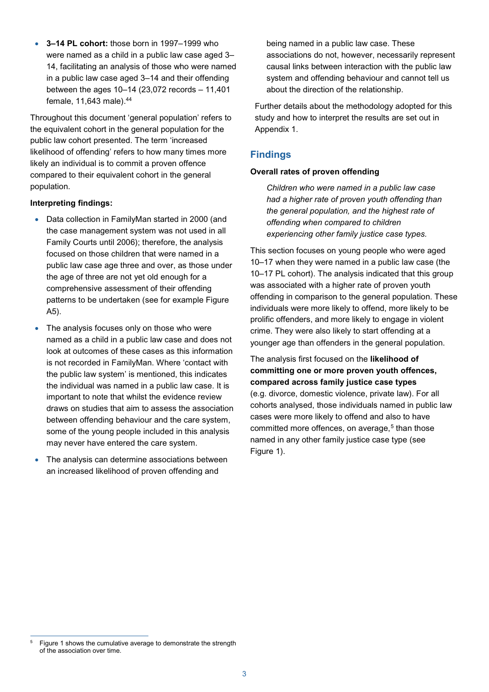• **3–14 PL cohort:** those born in 1997–1999 who were named as a child in a public law case aged 3– 14, facilitating an analysis of those who were named in a public law case aged 3–14 and their offending between the ages 10–14 (23,072 records – 11,401 female, 11,643 male). [44](#page-1-2)

Throughout this document 'general population' refers to the equivalent cohort in the general population for the public law cohort presented. The term 'increased likelihood of offending' refers to how many times more likely an individual is to commit a proven offence compared to their equivalent cohort in the general population.

#### **Interpreting findings:**

- Data collection in FamilyMan started in 2000 (and the case management system was not used in all Family Courts until 2006); therefore, the analysis focused on those children that were named in a public law case age three and over, as those under the age of three are not yet old enough for a comprehensive assessment of their offending patterns to be undertaken (see for example Figure A5).
- The analysis focuses only on those who were named as a child in a public law case and does not look at outcomes of these cases as this information is not recorded in FamilyMan. Where 'contact with the public law system' is mentioned, this indicates the individual was named in a public law case. It is important to note that whilst the evidence review draws on studies that aim to assess the association between offending behaviour and the care system, some of the young people included in this analysis may never have entered the care system.
- The analysis can determine associations between an increased likelihood of proven offending and

being named in a public law case. These associations do not, however, necessarily represent causal links between interaction with the public law system and offending behaviour and cannot tell us about the direction of the relationship.

Further details about the methodology adopted for this study and how to interpret the results are set out in Appendix 1.

# **Findings**

#### **Overall rates of proven offending**

*Children who were named in a public law case had a higher rate of proven youth offending than the general population, and the highest rate of offending when compared to children experiencing other family justice case types.*

This section focuses on young people who were aged 10–17 when they were named in a public law case (the 10–17 PL cohort). The analysis indicated that this group was associated with a higher rate of proven youth offending in comparison to the general population. These individuals were more likely to offend, more likely to be prolific offenders, and more likely to engage in violent crime. They were also likely to start offending at a younger age than offenders in the general population.

The analysis first focused on the **likelihood of committing one or more proven youth offences, compared across family justice case types** (e.g. divorce, domestic violence, private law). For all cohorts analysed, those individuals named in public law cases were more likely to offend and also to have committed more offences, on average,<sup>[5](#page-2-0)</sup> than those named in any other family justice case type (see Figure 1).

<span id="page-2-0"></span>Figure 1 shows the cumulative average to demonstrate the strength of the association over time.  $\overline{5}$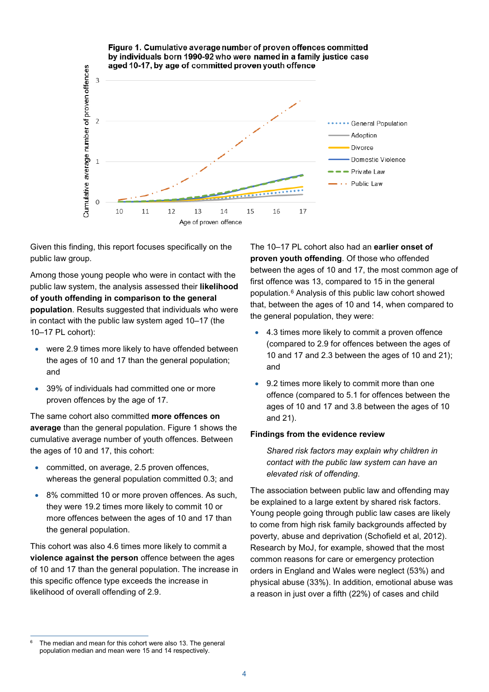

Given this finding, this report focuses specifically on the public law group.

Among those young people who were in contact with the public law system, the analysis assessed their **likelihood of youth offending in comparison to the general population**. Results suggested that individuals who were in contact with the public law system aged 10–17 (the 10–17 PL cohort):

- were 2.9 times more likely to have offended between the ages of 10 and 17 than the general population; and
- 39% of individuals had committed one or more proven offences by the age of 17.

The same cohort also committed **more offences on average** than the general population. Figure 1 shows the cumulative average number of youth offences. Between the ages of 10 and 17, this cohort:

- committed, on average, 2.5 proven offences, whereas the general population committed 0.3; and
- 8% committed 10 or more proven offences. As such, they were 19.2 times more likely to commit 10 or more offences between the ages of 10 and 17 than the general population.

This cohort was also 4.6 times more likely to commit a **violence against the person** offence between the ages of 10 and 17 than the general population. The increase in this specific offence type exceeds the increase in likelihood of overall offending of 2.9.

The 10–17 PL cohort also had an **earlier onset of proven youth offending**. Of those who offended between the ages of 10 and 17, the most common age of first offence was 13, compared to 15 in the general population.[6](#page-3-0) Analysis of this public law cohort showed that, between the ages of 10 and 14, when compared to the general population, they were:

- 4.3 times more likely to commit a proven offence (compared to 2.9 for offences between the ages of 10 and 17 and 2.3 between the ages of 10 and 21); and
- 9.2 times more likely to commit more than one offence (compared to 5.1 for offences between the ages of 10 and 17 and 3.8 between the ages of 10 and 21).

#### **Findings from the evidence review**

*Shared risk factors may explain why children in contact with the public law system can have an elevated risk of offending.*

The association between public law and offending may be explained to a large extent by shared risk factors. Young people going through public law cases are likely to come from high risk family backgrounds affected by poverty, abuse and deprivation (Schofield et al, 2012). Research by MoJ, for example, showed that the most common reasons for care or emergency protection orders in England and Wales were neglect (53%) and physical abuse (33%). In addition, emotional abuse was a reason in just over a fifth (22%) of cases and child

<span id="page-3-0"></span><sup>6</sup> The median and mean for this cohort were also 13. The general population median and mean were 15 and 14 respectively.  $\overline{a}$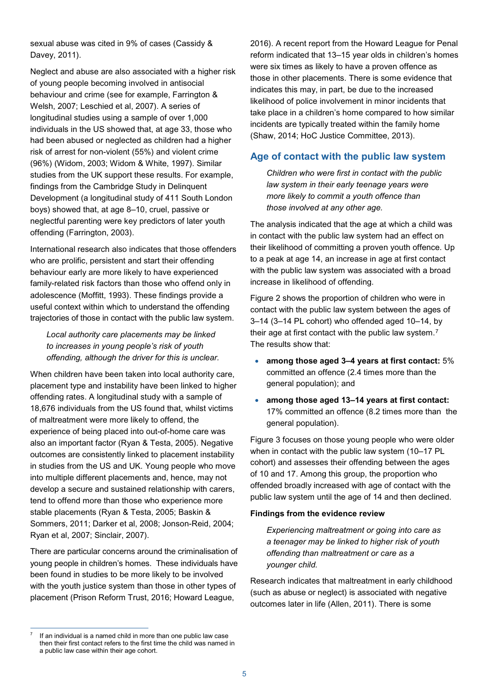sexual abuse was cited in 9% of cases (Cassidy & Davey, 2011).

Neglect and abuse are also associated with a higher risk of young people becoming involved in antisocial behaviour and crime (see for example, Farrington & Welsh, 2007; Leschied et al, 2007). A series of longitudinal studies using a sample of over 1,000 individuals in the US showed that, at age 33, those who had been abused or neglected as children had a higher risk of arrest for non-violent (55%) and violent crime (96%) (Widom, 2003; Widom & White, 1997). Similar studies from the UK support these results. For example, findings from the Cambridge Study in Delinquent Development (a longitudinal study of 411 South London boys) showed that, at age 8–10, cruel, passive or neglectful parenting were key predictors of later youth offending (Farrington, 2003).

International research also indicates that those offenders who are prolific, persistent and start their offending behaviour early are more likely to have experienced family-related risk factors than those who offend only in adolescence (Moffitt, 1993). These findings provide a useful context within which to understand the offending trajectories of those in contact with the public law system.

*Local authority care placements may be linked to increases in young people's risk of youth offending, although the driver for this is unclear.*

When children have been taken into local authority care, placement type and instability have been linked to higher offending rates. A longitudinal study with a sample of 18,676 individuals from the US found that, whilst victims of maltreatment were more likely to offend, the experience of being placed into out-of-home care was also an important factor (Ryan & Testa, 2005). Negative outcomes are consistently linked to placement instability in studies from the US and UK. Young people who move into multiple different placements and, hence, may not develop a secure and sustained relationship with carers, tend to offend more than those who experience more stable placements (Ryan & Testa, 2005; Baskin & Sommers, 2011; Darker et al, 2008; Jonson-Reid, 2004; Ryan et al, 2007; Sinclair, 2007).

There are particular concerns around the criminalisation of young people in children's homes. These individuals have been found in studies to be more likely to be involved with the youth justice system than those in other types of placement (Prison Reform Trust, 2016; Howard League,

<span id="page-4-0"></span>If an individual is a named child in more than one public law case then their first contact refers to the first time the child was named in a public law case within their age cohort.  $\overline{a}$ 

2016). A recent report from the Howard League for Penal reform indicated that 13–15 year olds in children's homes were six times as likely to have a proven offence as those in other placements. There is some evidence that indicates this may, in part, be due to the increased likelihood of police involvement in minor incidents that take place in a children's home compared to how similar incidents are typically treated within the family home (Shaw, 2014; HoC Justice Committee, 2013).

## **Age of contact with the public law system**

*Children who were first in contact with the public law system in their early teenage years were more likely to commit a youth offence than those involved at any other age.*

The analysis indicated that the age at which a child was in contact with the public law system had an effect on their likelihood of committing a proven youth offence. Up to a peak at age 14, an increase in age at first contact with the public law system was associated with a broad increase in likelihood of offending.

Figure 2 shows the proportion of children who were in contact with the public law system between the ages of 3–14 (3–14 PL cohort) who offended aged 10–14, by their age at first contact with the public law system.[7](#page-4-0) The results show that:

- **among those aged 3–4 years at first contact:** 5% committed an offence (2.4 times more than the general population); and
- **among those aged 13–14 years at first contact:**  17% committed an offence (8.2 times more than the general population).

Figure 3 focuses on those young people who were older when in contact with the public law system (10–17 PL cohort) and assesses their offending between the ages of 10 and 17. Among this group, the proportion who offended broadly increased with age of contact with the public law system until the age of 14 and then declined.

#### **Findings from the evidence review**

*Experiencing maltreatment or going into care as a teenager may be linked to higher risk of youth offending than maltreatment or care as a younger child.*

Research indicates that maltreatment in early childhood (such as abuse or neglect) is associated with negative outcomes later in life (Allen, 2011). There is some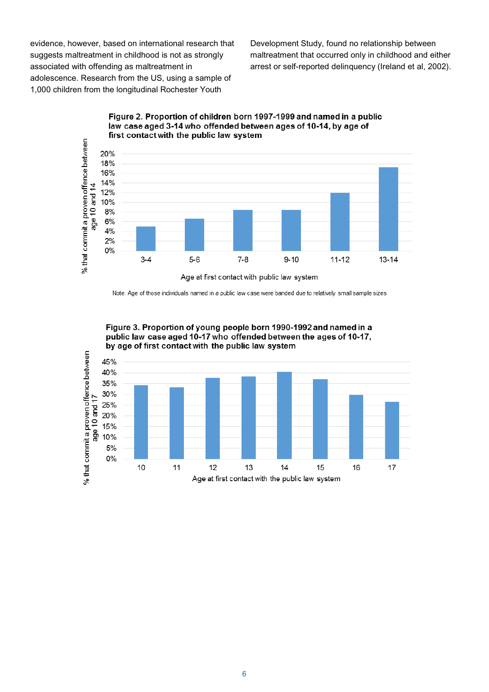evidence, however, based on international research that suggests maltreatment in childhood is not as strongly associated with offending as maltreatment in adolescence. Research from the US, using a sample of 1,000 children from the longitudinal Rochester Youth

Development Study, found no relationship between maltreatment that occurred only in childhood and either arrest or self-reported delinquency (Ireland et al, 2002).



Figure 2. Proportion of children born 1997-1999 and named in a public law case aged 3-14 who offended between ages of 10-14, by age of first contact with the public law system

Note: Age of those individuals named in a public law case were banded due to relatively small sample sizes



Figure 3. Proportion of young people born 1990-1992 and named in a public law case aged 10-17 who offended between the ages of 10-17,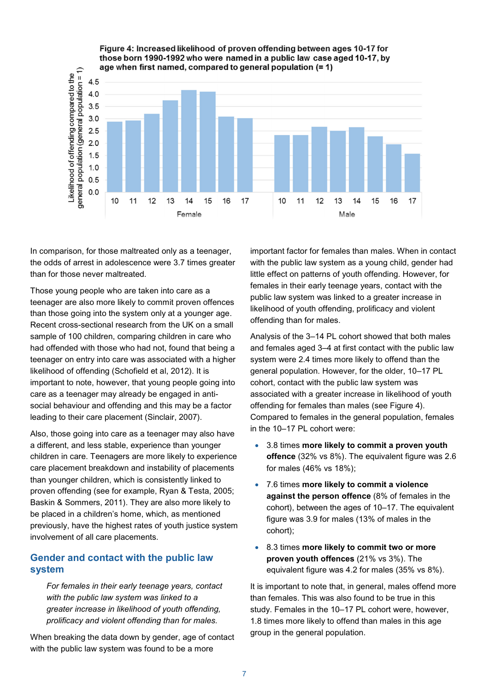

In comparison, for those maltreated only as a teenager, the odds of arrest in adolescence were 3.7 times greater than for those never maltreated.

Those young people who are taken into care as a teenager are also more likely to commit proven offences than those going into the system only at a younger age. Recent cross-sectional research from the UK on a small sample of 100 children, comparing children in care who had offended with those who had not, found that being a teenager on entry into care was associated with a higher likelihood of offending (Schofield et al, 2012). It is important to note, however, that young people going into care as a teenager may already be engaged in antisocial behaviour and offending and this may be a factor leading to their care placement (Sinclair, 2007).

Also, those going into care as a teenager may also have a different, and less stable, experience than younger children in care. Teenagers are more likely to experience care placement breakdown and instability of placements than younger children, which is consistently linked to proven offending (see for example, Ryan & Testa, 2005; Baskin & Sommers, 2011). They are also more likely to be placed in a children's home, which, as mentioned previously, have the highest rates of youth justice system involvement of all care placements.

#### **Gender and contact with the public law system**

*For females in their early teenage years, contact with the public law system was linked to a greater increase in likelihood of youth offending, prolificacy and violent offending than for males.*

When breaking the data down by gender, age of contact with the public law system was found to be a more

important factor for females than males. When in contact with the public law system as a young child, gender had little effect on patterns of youth offending. However, for females in their early teenage years, contact with the public law system was linked to a greater increase in likelihood of youth offending, prolificacy and violent offending than for males.

Analysis of the 3–14 PL cohort showed that both males and females aged 3–4 at first contact with the public law system were 2.4 times more likely to offend than the general population. However, for the older, 10–17 PL cohort, contact with the public law system was associated with a greater increase in likelihood of youth offending for females than males (see Figure 4). Compared to females in the general population, females in the 10–17 PL cohort were:

- 3.8 times **more likely to commit a proven youth offence** (32% vs 8%). The equivalent figure was 2.6 for males (46% vs 18%);
- 7.6 times **more likely to commit a violence against the person offence** (8% of females in the cohort), between the ages of 10–17. The equivalent figure was 3.9 for males (13% of males in the cohort);
- 8.3 times **more likely to commit two or more proven youth offences** (21% vs 3%). The equivalent figure was 4.2 for males (35% vs 8%).

It is important to note that, in general, males offend more than females. This was also found to be true in this study. Females in the 10–17 PL cohort were, however, 1.8 times more likely to offend than males in this age group in the general population.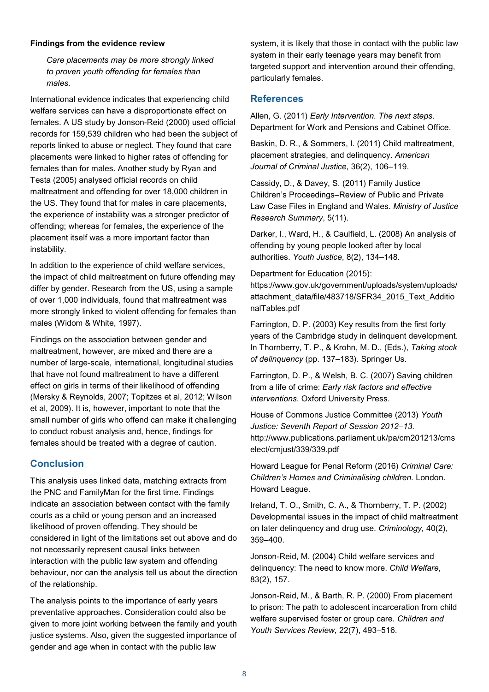#### **Findings from the evidence review**

*Care placements may be more strongly linked to proven youth offending for females than males.*

International evidence indicates that experiencing child welfare services can have a disproportionate effect on females. A US study by Jonson-Reid (2000) used official records for 159,539 children who had been the subject of reports linked to abuse or neglect. They found that care placements were linked to higher rates of offending for females than for males. Another study by Ryan and Testa (2005) analysed official records on child maltreatment and offending for over 18,000 children in the US. They found that for males in care placements, the experience of instability was a stronger predictor of offending; whereas for females, the experience of the placement itself was a more important factor than instability.

In addition to the experience of child welfare services, the impact of child maltreatment on future offending may differ by gender. Research from the US, using a sample of over 1,000 individuals, found that maltreatment was more strongly linked to violent offending for females than males (Widom & White, 1997).

Findings on the association between gender and maltreatment, however, are mixed and there are a number of large-scale, international, longitudinal studies that have not found maltreatment to have a different effect on girls in terms of their likelihood of offending (Mersky & Reynolds, 2007; Topitzes et al, 2012; Wilson et al, 2009). It is, however, important to note that the small number of girls who offend can make it challenging to conduct robust analysis and, hence, findings for females should be treated with a degree of caution.

#### **Conclusion**

This analysis uses linked data, matching extracts from the PNC and FamilyMan for the first time. Findings indicate an association between contact with the family courts as a child or young person and an increased likelihood of proven offending. They should be considered in light of the limitations set out above and do not necessarily represent causal links between interaction with the public law system and offending behaviour, nor can the analysis tell us about the direction of the relationship.

The analysis points to the importance of early years preventative approaches. Consideration could also be given to more joint working between the family and youth justice systems. Also, given the suggested importance of gender and age when in contact with the public law

system, it is likely that those in contact with the public law system in their early teenage years may benefit from targeted support and intervention around their offending, particularly females.

#### **References**

Allen, G. (2011) *Early Intervention. The next steps*. Department for Work and Pensions and Cabinet Office.

Baskin, D. R., & Sommers, I. (2011) Child maltreatment, placement strategies, and delinquency. *American Journal of Criminal Justice*, 36(2), 106–119.

Cassidy, D., & Davey, S. (2011) Family Justice Children's Proceedings–Review of Public and Private Law Case Files in England and Wales. *Ministry of Justice Research Summary*, 5(11).

Darker, I., Ward, H., & Caulfield, L. (2008) An analysis of offending by young people looked after by local authorities. *Youth Justice*, 8(2), 134–148.

Department for Education (2015): https://www.gov.uk/government/uploads/system/uploads/ attachment\_data/file/483718/SFR34\_2015\_Text\_Additio nalTables.pdf

Farrington, D. P. (2003) Key results from the first forty years of the Cambridge study in delinquent development. In Thornberry, T. P., & Krohn, M. D., (Eds.), *Taking stock of delinquency* (pp. 137–183). Springer Us.

Farrington, D. P., & Welsh, B. C. (2007) Saving children from a life of crime: *Early risk factors and effective interventions*. Oxford University Press.

House of Commons Justice Committee (2013) *Youth Justice: Seventh Report of Session 2012–13.* http://www.publications.parliament.uk/pa/cm201213/cms elect/cmjust/339/339.pdf

Howard League for Penal Reform (2016) *Criminal Care: Children's Homes and Criminalising children.* London. Howard League.

Ireland, T. O., Smith, C. A., & Thornberry, T. P. (2002) Developmental issues in the impact of child maltreatment on later delinquency and drug use. *Criminology,* 40(2), 359–400.

Jonson-Reid, M. (2004) Child welfare services and delinquency: The need to know more. *Child Welfare,* 83(2), 157.

Jonson-Reid, M., & Barth, R. P. (2000) From placement to prison: The path to adolescent incarceration from child welfare supervised foster or group care. *Children and Youth Services Review,* 22(7), 493–516.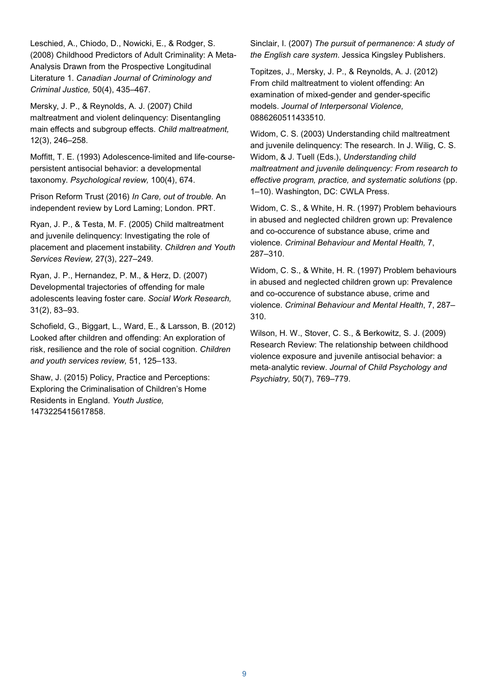Leschied, A., Chiodo, D., Nowicki, E., & Rodger, S. (2008) Childhood Predictors of Adult Criminality: A Meta-Analysis Drawn from the Prospective Longitudinal Literature 1. *Canadian Journal of Criminology and Criminal Justice,* 50(4), 435–467.

Mersky, J. P., & Reynolds, A. J. (2007) Child maltreatment and violent delinquency: Disentangling main effects and subgroup effects. *Child maltreatment,* 12(3), 246–258.

Moffitt, T. E. (1993) Adolescence-limited and life-coursepersistent antisocial behavior: a developmental taxonomy. *Psychological review,* 100(4), 674.

Prison Reform Trust (2016) *In Care, out of trouble.* An independent review by Lord Laming; London. PRT.

Ryan, J. P., & Testa, M. F. (2005) Child maltreatment and juvenile delinquency: Investigating the role of placement and placement instability. *Children and Youth Services Review,* 27(3), 227–249.

Ryan, J. P., Hernandez, P. M., & Herz, D. (2007) Developmental trajectories of offending for male adolescents leaving foster care. *Social Work Research,*  31(2), 83–93.

Schofield, G., Biggart, L., Ward, E., & Larsson, B. (2012) Looked after children and offending: An exploration of risk, resilience and the role of social cognition. *Children and youth services review,* 51, 125–133.

Shaw, J. (2015) Policy, Practice and Perceptions: Exploring the Criminalisation of Children's Home Residents in England. *Youth Justice,* 1473225415617858.

Sinclair, I. (2007) *The pursuit of permanence: A study of the English care system*. Jessica Kingsley Publishers.

Topitzes, J., Mersky, J. P., & Reynolds, A. J. (2012) From child maltreatment to violent offending: An examination of mixed-gender and gender-specific models. *Journal of Interpersonal Violence,* 0886260511433510.

Widom, C. S. (2003) Understanding child maltreatment and juvenile delinquency: The research. In J. Wilig, C. S. Widom, & J. Tuell (Eds.), *Understanding child maltreatment and juvenile delinquency: From research to effective program, practice, and systematic solutions* (pp. 1–10). Washington, DC: CWLA Press.

Widom, C. S., & White, H. R. (1997) Problem behaviours in abused and neglected children grown up: Prevalence and co-occurence of substance abuse, crime and violence. *Criminal Behaviour and Mental Health,* 7, 287–310.

Widom, C. S., & White, H. R. (1997) Problem behaviours in abused and neglected children grown up: Prevalence and co-occurence of substance abuse, crime and violence. *Criminal Behaviour and Mental Health*, 7, 287– 310.

Wilson, H. W., Stover, C. S., & Berkowitz, S. J. (2009) Research Review: The relationship between childhood violence exposure and juvenile antisocial behavior: a meta‐analytic review. *Journal of Child Psychology and Psychiatry,* 50(7), 769–779.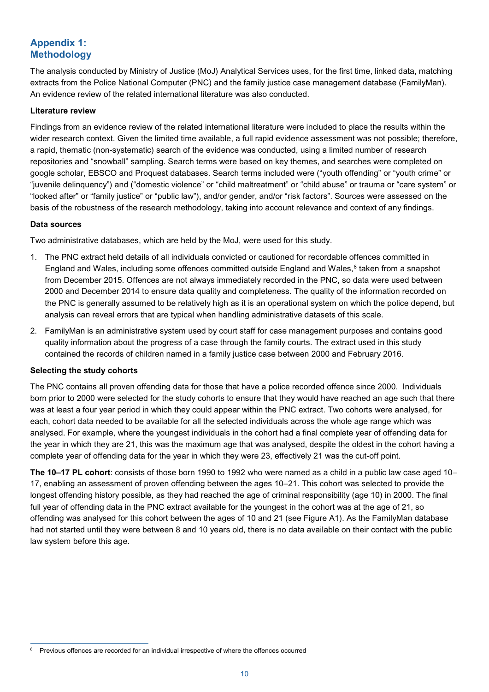# **Appendix 1: Methodology**

The analysis conducted by Ministry of Justice (MoJ) Analytical Services uses, for the first time, linked data, matching extracts from the Police National Computer (PNC) and the family justice case management database (FamilyMan). An evidence review of the related international literature was also conducted.

#### **Literature review**

Findings from an evidence review of the related international literature were included to place the results within the wider research context. Given the limited time available, a full rapid evidence assessment was not possible; therefore, a rapid, thematic (non-systematic) search of the evidence was conducted, using a limited number of research repositories and "snowball" sampling. Search terms were based on key themes, and searches were completed on google scholar, EBSCO and Proquest databases. Search terms included were ("youth offending" or "youth crime" or "juvenile delinquency") and ("domestic violence" or "child maltreatment" or "child abuse" or trauma or "care system" or "looked after" or "family justice" or "public law"), and/or gender, and/or "risk factors". Sources were assessed on the basis of the robustness of the research methodology, taking into account relevance and context of any findings.

#### **Data sources**

Two administrative databases, which are held by the MoJ, were used for this study.

- 1. The PNC extract held details of all individuals convicted or cautioned for recordable offences committed in England and Wales, including some offences committed outside England and Wales,<sup>[8](#page-9-0)</sup> taken from a snapshot from December 2015. Offences are not always immediately recorded in the PNC, so data were used between 2000 and December 2014 to ensure data quality and completeness. The quality of the information recorded on the PNC is generally assumed to be relatively high as it is an operational system on which the police depend, but analysis can reveal errors that are typical when handling administrative datasets of this scale.
- 2. FamilyMan is an administrative system used by court staff for case management purposes and contains good quality information about the progress of a case through the family courts. The extract used in this study contained the records of children named in a family justice case between 2000 and February 2016.

#### **Selecting the study cohorts**

The PNC contains all proven offending data for those that have a police recorded offence since 2000. Individuals born prior to 2000 were selected for the study cohorts to ensure that they would have reached an age such that there was at least a four year period in which they could appear within the PNC extract. Two cohorts were analysed, for each, cohort data needed to be available for all the selected individuals across the whole age range which was analysed. For example, where the youngest individuals in the cohort had a final complete year of offending data for the year in which they are 21, this was the maximum age that was analysed, despite the oldest in the cohort having a complete year of offending data for the year in which they were 23, effectively 21 was the cut-off point.

**The 10–17 PL cohort**: consists of those born 1990 to 1992 who were named as a child in a public law case aged 10– 17, enabling an assessment of proven offending between the ages 10–21. This cohort was selected to provide the longest offending history possible, as they had reached the age of criminal responsibility (age 10) in 2000. The final full year of offending data in the PNC extract available for the youngest in the cohort was at the age of 21, so offending was analysed for this cohort between the ages of 10 and 21 (see Figure A1). As the FamilyMan database had not started until they were between 8 and 10 years old, there is no data available on their contact with the public law system before this age.

<span id="page-9-0"></span><sup>8</sup> Previous offences are recorded for an individual irrespective of where the offences occurred  $\overline{a}$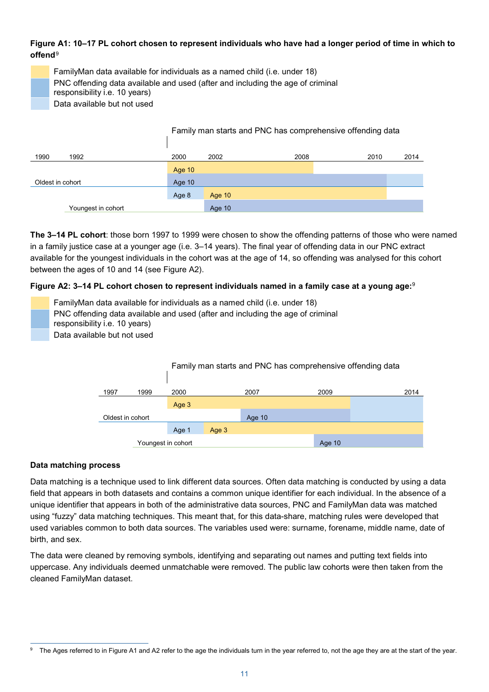# **Figure A1: 10–17 PL cohort chosen to represent individuals who have had a longer period of time in which to offend**[9](#page-10-1)

<span id="page-10-0"></span>FamilyMan data available for individuals as a named child (i.e. under 18) PNC offending data available and used (after and including the age of criminal

responsibility i.e. 10 years)

Data available but not used

|                    |          | Family man starts and PNC has comprehensive offending data |      |      |      |  |
|--------------------|----------|------------------------------------------------------------|------|------|------|--|
| 1990<br>1992       | 2000     | 2002                                                       | 2008 | 2010 | 2014 |  |
|                    | Age $10$ |                                                            |      |      |      |  |
| Oldest in cohort   | Age 10   |                                                            |      |      |      |  |
|                    | Age 8    | Age 10                                                     |      |      |      |  |
| Youngest in cohort |          | Age 10                                                     |      |      |      |  |

**The 3–14 PL cohort**: those born 1997 to 1999 were chosen to show the offending patterns of those who were named in a family justice case at a younger age (i.e. 3–14 years). The final year of offending data in our PNC extract available for the youngest individuals in the cohort was at the age of 14, so offending was analysed for this cohort between the ages of 10 and 14 (see Figure A2).

# **Figure A2: 3–14 PL cohort chosen to represent individuals named in a family case at a young age:**[9](#page-10-0)

FamilyMan data available for individuals as a named child (i.e. under 18) PNC offending data available and used (after and including the age of criminal responsibility i.e. 10 years) Data available but not used



#### **Data matching process**

Data matching is a technique used to link different data sources. Often data matching is conducted by using a data field that appears in both datasets and contains a common unique identifier for each individual. In the absence of a unique identifier that appears in both of the administrative data sources, PNC and FamilyMan data was matched using "fuzzy" data matching techniques. This meant that, for this data-share, matching rules were developed that used variables common to both data sources. The variables used were: surname, forename, middle name, date of birth, and sex.

The data were cleaned by removing symbols, identifying and separating out names and putting text fields into uppercase. Any individuals deemed unmatchable were removed. The public law cohorts were then taken from the cleaned FamilyMan dataset.

<span id="page-10-1"></span>The Ages referred to in Figure A1 and A2 refer to the age the individuals turn in the year referred to, not the age they are at the start of the year.  $\overline{a}$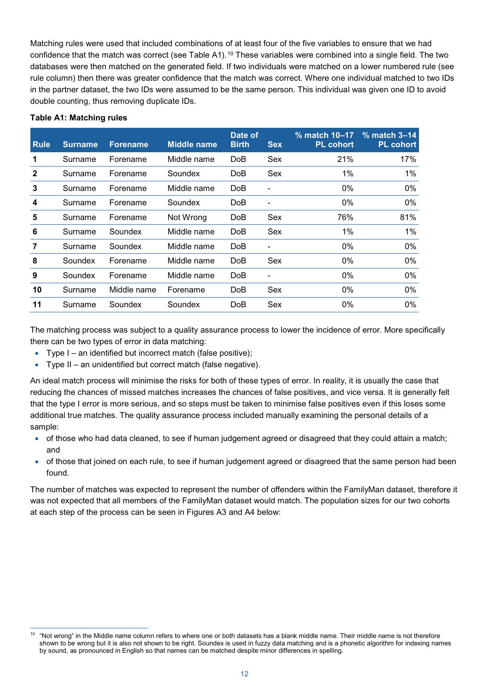Matching rules were used that included combinations of at least four of the five variables to ensure that we had confidence that the match was correct (see Table A1).[10](#page-11-0) These variables were combined into a single field. The two databases were then matched on the generated field. If two individuals were matched on a lower numbered rule (see rule column) then there was greater confidence that the match was correct. Where one individual matched to two IDs in the partner dataset, the two IDs were assumed to be the same person. This individual was given one ID to avoid double counting, thus removing duplicate IDs.

| <b>Rule</b>    | <b>Surname</b> | <b>Forename</b> | <b>Middle name</b> | Date of<br><b>Birth</b> | <b>Sex</b> | $%$ match 10–17<br><b>PL cohort</b> | $%$ match 3–14<br><b>PL cohort</b> |
|----------------|----------------|-----------------|--------------------|-------------------------|------------|-------------------------------------|------------------------------------|
|                | Surname        | Forename        | Middle name        | Do <sub>B</sub>         | Sex        | 21%                                 | 17%                                |
| $\mathbf{2}$   | Surname        | Forename        | Soundex            | DoB                     | Sex        | 1%                                  | $1\%$                              |
| 3              | Surname        | Forename        | Middle name        | DoB                     |            | 0%                                  | 0%                                 |
| 4              | Surname        | Forename        | Soundex            | DoB                     |            | 0%                                  | $0\%$                              |
| 5              | Surname        | Forename        | Not Wrong          | <b>DoB</b>              | Sex        | 76%                                 | 81%                                |
| 6              | Surname        | Soundex         | Middle name        | DoB                     | Sex        | $1\%$                               | $1\%$                              |
| $\overline{7}$ | Surname        | Soundex         | Middle name        | DoB                     |            | 0%                                  | 0%                                 |
| 8              | Soundex        | Forename        | Middle name        | <b>DoB</b>              | Sex        | $0\%$                               | 0%                                 |
| 9              | Soundex        | Forename        | Middle name        | DoB                     |            | 0%                                  | 0%                                 |
| 10             | Surname        | Middle name     | Forename           | DoB                     | Sex        | 0%                                  | 0%                                 |
| 11             | Surname        | Soundex         | Soundex            | DoB                     | Sex        | 0%                                  | 0%                                 |

#### **Table A1: Matching rules**

 $\overline{a}$ 

The matching process was subject to a quality assurance process to lower the incidence of error. More specifically there can be two types of error in data matching:

- Type I an identified but incorrect match (false positive);
- Type II an unidentified but correct match (false negative).

An ideal match process will minimise the risks for both of these types of error. In reality, it is usually the case that reducing the chances of missed matches increases the chances of false positives, and vice versa. It is generally felt that the type I error is more serious, and so steps must be taken to minimise false positives even if this loses some additional true matches. The quality assurance process included manually examining the personal details of a sample:

- of those who had data cleaned, to see if human judgement agreed or disagreed that they could attain a match; and
- of those that joined on each rule, to see if human judgement agreed or disagreed that the same person had been found.

The number of matches was expected to represent the number of offenders within the FamilyMan dataset, therefore it was not expected that all members of the FamilyMan dataset would match. The population sizes for our two cohorts at each step of the process can be seen in Figures A3 and A4 below:

<span id="page-11-0"></span> $10$  "Not wrong" in the Middle name column refers to where one or both datasets has a blank middle name. Their middle name is not therefore shown to be wrong but it is also not shown to be right. Soundex is used in fuzzy data matching and is a phonetic algorithm for indexing names by sound, as pronounced in English so that names can be matched despite minor differences in spelling.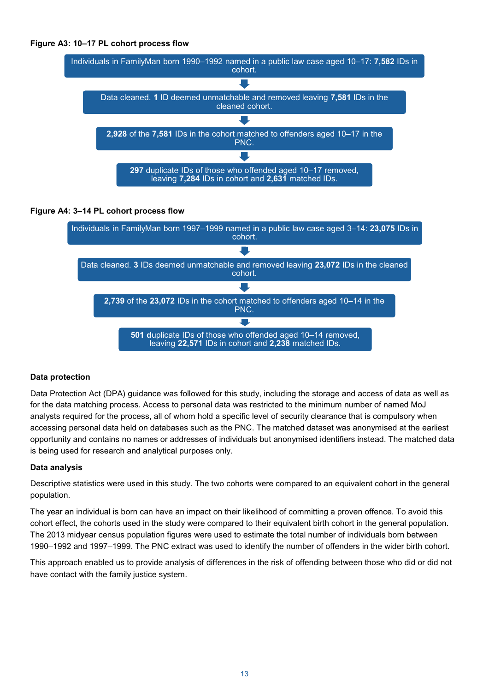





#### **Data protection**

Data Protection Act (DPA) guidance was followed for this study, including the storage and access of data as well as for the data matching process. Access to personal data was restricted to the minimum number of named MoJ analysts required for the process, all of whom hold a specific level of security clearance that is compulsory when accessing personal data held on databases such as the PNC. The matched dataset was anonymised at the earliest opportunity and contains no names or addresses of individuals but anonymised identifiers instead. The matched data is being used for research and analytical purposes only.

#### **Data analysis**

Descriptive statistics were used in this study. The two cohorts were compared to an equivalent cohort in the general population.

The year an individual is born can have an impact on their likelihood of committing a proven offence. To avoid this cohort effect, the cohorts used in the study were compared to their equivalent birth cohort in the general population. The 2013 midyear census population figures were used to estimate the total number of individuals born between 1990–1992 and 1997–1999. The PNC extract was used to identify the number of offenders in the wider birth cohort.

This approach enabled us to provide analysis of differences in the risk of offending between those who did or did not have contact with the family justice system.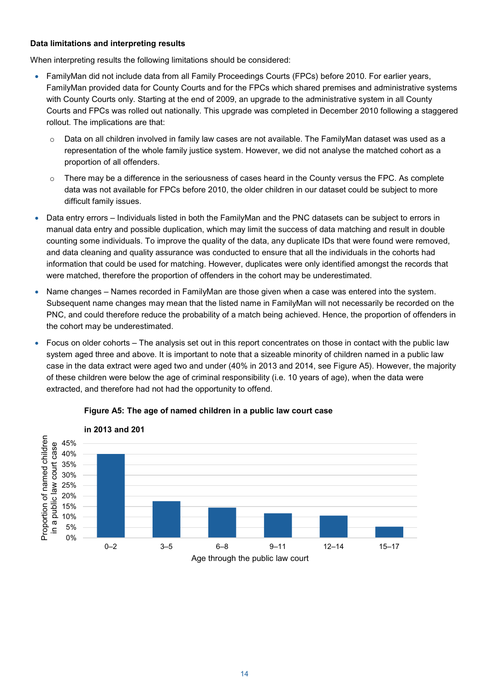#### **Data limitations and interpreting results**

When interpreting results the following limitations should be considered:

- FamilyMan did not include data from all Family Proceedings Courts (FPCs) before 2010. For earlier years, FamilyMan provided data for County Courts and for the FPCs which shared premises and administrative systems with County Courts only. Starting at the end of 2009, an upgrade to the administrative system in all County Courts and FPCs was rolled out nationally. This upgrade was completed in December 2010 following a staggered rollout. The implications are that:
	- $\circ$  Data on all children involved in family law cases are not available. The FamilyMan dataset was used as a representation of the whole family justice system. However, we did not analyse the matched cohort as a proportion of all offenders.
	- $\circ$  There may be a difference in the seriousness of cases heard in the County versus the FPC. As complete data was not available for FPCs before 2010, the older children in our dataset could be subject to more difficult family issues.
- Data entry errors Individuals listed in both the FamilyMan and the PNC datasets can be subject to errors in manual data entry and possible duplication, which may limit the success of data matching and result in double counting some individuals. To improve the quality of the data, any duplicate IDs that were found were removed, and data cleaning and quality assurance was conducted to ensure that all the individuals in the cohorts had information that could be used for matching. However, duplicates were only identified amongst the records that were matched, therefore the proportion of offenders in the cohort may be underestimated.
- Name changes Names recorded in FamilyMan are those given when a case was entered into the system. Subsequent name changes may mean that the listed name in FamilyMan will not necessarily be recorded on the PNC, and could therefore reduce the probability of a match being achieved. Hence, the proportion of offenders in the cohort may be underestimated.
- Focus on older cohorts The analysis set out in this report concentrates on those in contact with the public law system aged three and above. It is important to note that a sizeable minority of children named in a public law case in the data extract were aged two and under (40% in 2013 and 2014, see Figure A5). However, the majority of these children were below the age of criminal responsibility (i.e. 10 years of age), when the data were extracted, and therefore had not had the opportunity to offend.



#### **Figure A5: The age of named children in a public law court case**